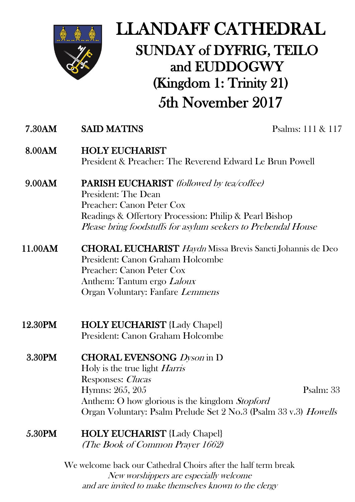

# LLANDAFF CATHEDRAL SUNDAY of DYFRIG, TEILO and EUDDOGWY (Kingdom 1: Trinity 21) 5th November 2017

## 7.30AM SAID MATINS Psalms: 111 & 117

8.00AM HOLY EUCHARIST President & Preacher: The Reverend Edward Le Brun Powell

#### 9.00AM PARISH EUCHARIST (followed by tea/coffee)

President: The Dean Preacher: Canon Peter Cox Readings & Offertory Procession: Philip & Pearl Bishop Please bring foodstuffs for asylum seekers to Prebendal House

 11.00AM CHORAL EUCHARIST Haydn Missa Brevis Sancti Johannis de Deo President: Canon Graham Holcombe Preacher: Canon Peter Cox Anthem: Tantum ergo Laloux Organ Voluntary: Fanfare Lemmens

#### 12.30PM HOLY EUCHARIST {Lady Chapel} President: Canon Graham Holcombe

#### 3.30PM CHORAL EVENSONG Dyson in D

Holy is the true light Harris Responses: Clucas Hymns: 265, 205 Psalm: 33 Anthem: O how glorious is the kingdom Stopford Organ Voluntary: Psalm Prelude Set 2 No.3 (Psalm 33 v.3) Howells

 5.30PM HOLY EUCHARIST {Lady Chapel} (The Book of Common Prayer 1662)

> We welcome back our Cathedral Choirs after the half term break New worshippers are especially welcome and are invited to make themselves known to the clergy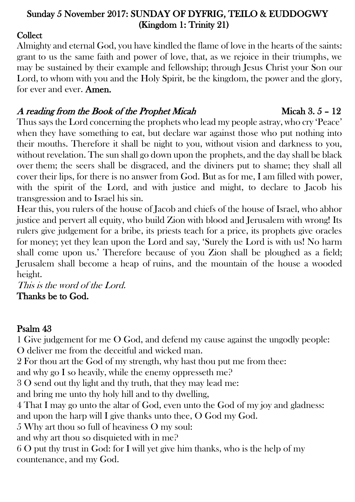#### Sunday 5 November 2017: SUNDAY OF DYFRIG, TEILO & EUDDOGWY (Kingdom 1: Trinity 21)

#### **Collect**

Almighty and eternal God, you have kindled the flame of love in the hearts of the saints: grant to us the same faith and power of love, that, as we rejoice in their triumphs, we may be sustained by their example and fellowship; through Jesus Christ your Son our Lord, to whom with you and the Holy Spirit, be the kingdom, the power and the glory, for ever and ever. Amen.

## A reading from the Book of the Prophet Micah  $\blacksquare$  Micah 3. 5 – 12

Thus says the Lord concerning the prophets who lead my people astray, who cry 'Peace' when they have something to eat, but declare war against those who put nothing into their mouths. Therefore it shall be night to you, without vision and darkness to you, without revelation. The sun shall go down upon the prophets, and the day shall be black over them; the seers shall be disgraced, and the diviners put to shame; they shall all cover their lips, for there is no answer from God. But as for me, I am filled with power, with the spirit of the Lord, and with justice and might, to declare to Jacob his transgression and to Israel his sin.

Hear this, you rulers of the house of Jacob and chiefs of the house of Israel, who abhor justice and pervert all equity, who build Zion with blood and Jerusalem with wrong! Its rulers give judgement for a bribe, its priests teach for a price, its prophets give oracles for money; yet they lean upon the Lord and say, 'Surely the Lord is with us! No harm shall come upon us.' Therefore because of you Zion shall be ploughed as a field; Jerusalem shall become a heap of ruins, and the mountain of the house a wooded height.

This is the word of the Lord. Thanks be to God.

## Psalm 43

1 Give judgement for me O God, and defend my cause against the ungodly people: O deliver me from the deceitful and wicked man. 2 For thou art the God of my strength, why hast thou put me from thee: and why go I so heavily, while the enemy oppresseth me? 3 O send out thy light and thy truth, that they may lead me: and bring me unto thy holy hill and to thy dwelling, 4 That I may go unto the altar of God, even unto the God of my joy and gladness: and upon the harp will I give thanks unto thee, O God my God. 5 Why art thou so full of heaviness O my soul: and why art thou so disquieted with in me? 6 O put thy trust in God: for I will yet give him thanks, who is the help of my countenance, and my God.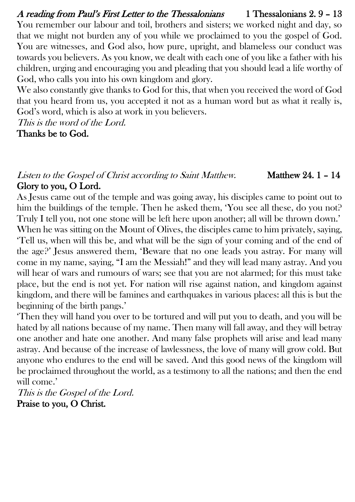#### A reading from Paul's First Letter to the Thessalonians 1 Thessalonians 2.9 - 13

You remember our labour and toil, brothers and sisters; we worked night and day, so that we might not burden any of you while we proclaimed to you the gospel of God. You are witnesses, and God also, how pure, upright, and blameless our conduct was towards you believers. As you know, we dealt with each one of you like a father with his children, urging and encouraging you and pleading that you should lead a life worthy of God, who calls you into his own kingdom and glory.

We also constantly give thanks to God for this, that when you received the word of God that you heard from us, you accepted it not as a human word but as what it really is, God's word, which is also at work in you believers.

This is the word of the Lord. Thanks be to God.

#### Listen to the Gospel of Christ according to Saint Matthew. Matthew 24. 1 - 14 Glory to you, O Lord.

As Jesus came out of the temple and was going away, his disciples came to point out to him the buildings of the temple. Then he asked them, 'You see all these, do you not? Truly I tell you, not one stone will be left here upon another; all will be thrown down.' When he was sitting on the Mount of Olives, the disciples came to him privately, saying, 'Tell us, when will this be, and what will be the sign of your coming and of the end of the age?' Jesus answered them, 'Beware that no one leads you astray. For many will come in my name, saying, "I am the Messiah!" and they will lead many astray. And you will hear of wars and rumours of wars; see that you are not alarmed; for this must take place, but the end is not yet. For nation will rise against nation, and kingdom against kingdom, and there will be famines and earthquakes in various places: all this is but the beginning of the birth pangs.'

'Then they will hand you over to be tortured and will put you to death, and you will be hated by all nations because of my name. Then many will fall away, and they will betray one another and hate one another. And many false prophets will arise and lead many astray. And because of the increase of lawlessness, the love of many will grow cold. But anyone who endures to the end will be saved. And this good news of the kingdom will be proclaimed throughout the world, as a testimony to all the nations; and then the end will come.'

This is the Gospel of the Lord. Praise to you, O Christ.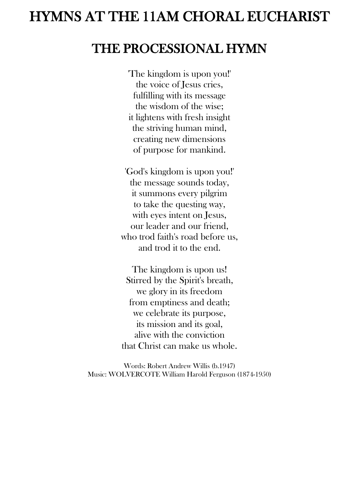## HYMNS AT THE 11AM CHORAL EUCHARIST

## THE PROCESSIONAL HYMN

'The kingdom is upon you!' the voice of Jesus cries, fulfilling with its message the wisdom of the wise; it lightens with fresh insight the striving human mind, creating new dimensions of purpose for mankind.

'God's kingdom is upon you!' the message sounds today, it summons every pilgrim to take the questing way, with eyes intent on Jesus, our leader and our friend, who trod faith's road before us, and trod it to the end.

The kingdom is upon us! Stirred by the Spirit's breath, we glory in its freedom from emptiness and death; we celebrate its purpose, its mission and its goal, alive with the conviction that Christ can make us whole.

Words: Robert Andrew Willis (b.1947) Music: WOLVERCOTE William Harold Ferguson (1874-1950)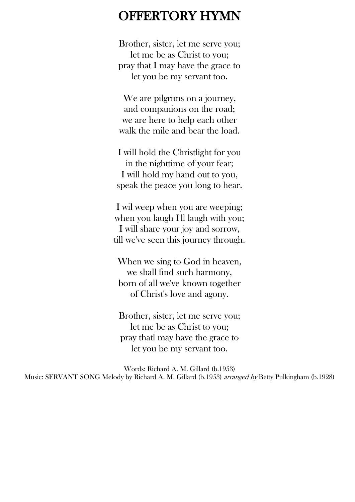## OFFERTORY HYMN

Brother, sister, let me serve you; let me be as Christ to you; pray that I may have the grace to let you be my servant too.

We are pilgrims on a journey, and companions on the road; we are here to help each other walk the mile and bear the load.

I will hold the Christlight for you in the nighttime of your fear; I will hold my hand out to you, speak the peace you long to hear.

I wil weep when you are weeping; when you laugh I'll laugh with you; I will share your joy and sorrow, till we've seen this journey through.

When we sing to God in heaven, we shall find such harmony, born of all we've known together of Christ's love and agony.

Brother, sister, let me serve you; let me be as Christ to you; pray thatl may have the grace to let you be my servant too.

Words: Richard A. M. Gillard (b.1953) Music: SERVANT SONG Melody by Richard A. M. Gillard (b.1953) arranged by Betty Pulkingham (b.1928)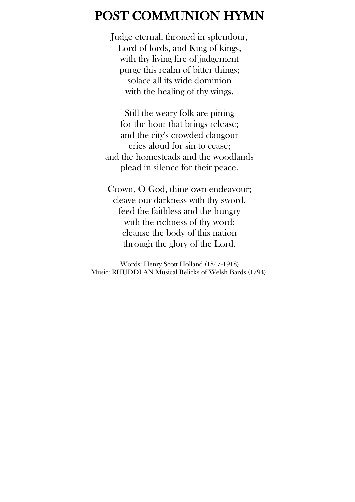## POST COMMUNION HYMN

Judge eternal, throned in splendour, Lord of lords, and King of kings, with thy living fire of judgement purge this realm of bitter things; solace all its wide dominion with the healing of thy wings.

Still the weary folk are pining for the hour that brings release; and the city's crowded clangour cries aloud for sin to cease; and the homesteads and the woodlands plead in silence for their peace.

Crown, O God, thine own endeavour; cleave our darkness with thy sword, feed the faithless and the hungry with the richness of thy word; cleanse the body of this nation through the glory of the Lord.

Words: Henry Scott Holland (1847-1918) Music: RHUDDLAN Musical Relicks of Welsh Bards (1794)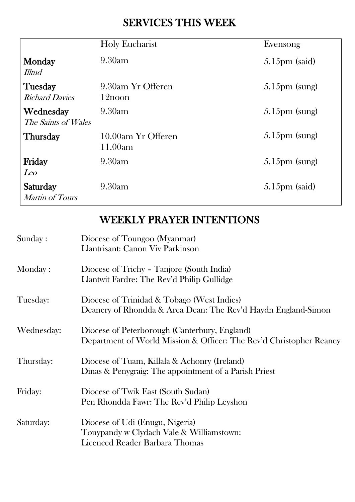## SERVICES THIS WEEK

|                                  | <b>Holy Eucharist</b>                   | Evensong                |
|----------------------------------|-----------------------------------------|-------------------------|
| Monday<br><b>Illtud</b>          | 9.30am                                  | $5.15 \text{pm}$ (said) |
| Tuesday<br><b>Richard Davies</b> | 9.30am Yr Offeren<br>12 <sub>noon</sub> | $5.15 \text{pm}$ (sung) |
| Wednesday<br>The Saints of Wales | 9.30am                                  | $5.15 \text{pm}$ (sung) |
| <b>Thursday</b>                  | 10.00am Yr Offeren<br>11.00am           | $5.15 \text{pm}$ (sung) |
| Friday<br>Leo                    | 9.30am                                  | $5.15 \text{pm}$ (sung) |
| Saturday<br>Martin of Tours      | 9.30am                                  | $5.15 \text{pm}$ (said) |

## WEEKLY PRAYER INTENTIONS

| Sunday:    | Diocese of Toungoo (Myanmar)                                                                                         |  |  |
|------------|----------------------------------------------------------------------------------------------------------------------|--|--|
|            | Llantrisant: Canon Viv Parkinson                                                                                     |  |  |
| Monday:    | Diocese of Trichy - Tanjore (South India)<br>Llantwit Fardre: The Rev'd Philip Gullidge                              |  |  |
| Tuesday:   | Diocese of Trinidad & Tobago (West Indies)<br>Deanery of Rhondda & Area Dean: The Rev'd Haydn England-Simon          |  |  |
| Wednesday: | Diocese of Peterborough (Canterbury, England)<br>Department of World Mission & Officer: The Rev'd Christopher Reaney |  |  |
| Thursday:  | Diocese of Tuam, Killala & Achonry (Ireland)<br>Dinas & Penygraig: The appointment of a Parish Priest                |  |  |
| Friday:    | Diocese of Twik East (South Sudan)<br>Pen Rhondda Fawr: The Rev'd Philip Leyshon                                     |  |  |
| Saturday:  | Diocese of Udi (Enugu, Nigeria)<br>Tonypandy w Clydach Vale & Williamstown:<br>Licenced Reader Barbara Thomas        |  |  |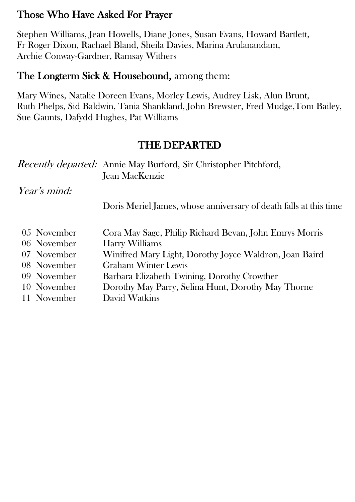## Those Who Have Asked For Prayer

Stephen Williams, Jean Howells, Diane Jones, Susan Evans, Howard Bartlett, Fr Roger Dixon, Rachael Bland, Sheila Davies, Marina Arulanandam, Archie Conway-Gardner, Ramsay Withers

## The Longterm Sick & Housebound, among them:

Mary Wines, Natalie Doreen Evans, Morley Lewis, Audrey Lisk, Alun Brunt, Ruth Phelps, Sid Baldwin, Tania Shankland, John Brewster, Fred Mudge,Tom Bailey, Sue Gaunts, Dafydd Hughes, Pat Williams

## THE DEPARTED

|              | <i>Recently departed:</i> Annie May Burford, Sir Christopher Pitchford, |
|--------------|-------------------------------------------------------------------------|
|              | Jean MacKenzie                                                          |
| Year's mind: |                                                                         |
|              | Doris Meriel James, whose anniversary of death falls at this time       |
| 0.5 November | Cora May Sage, Philip Richard Bevan, John Emrys Morris                  |
| 06 November  | Harry Williams                                                          |
| 07 November  | Winifred Mary Light, Dorothy Joyce Waldron, Joan Baird                  |
| 08 November  | <b>Graham Winter Lewis</b>                                              |
| 09 November  | Barbara Elizabeth Twining, Dorothy Crowther                             |
| 10 November  | Dorothy May Parry, Selina Hunt, Dorothy May Thorne                      |
| 11 November  | David Watkins                                                           |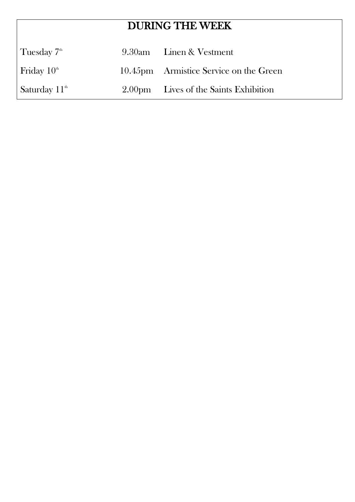## DURING THE WEEK

| Tuesday $7th$             | 9.30am Linen & Vestment                |
|---------------------------|----------------------------------------|
| Friday $10th$             | 10.45pm Armistice Service on the Green |
| Saturday $11^{\text{th}}$ | 2.00pm Lives of the Saints Exhibition  |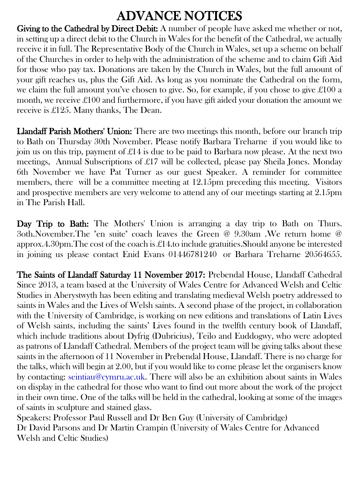## ADVANCE NOTICES

Giving to the Cathedral by Direct Debit: A number of people have asked me whether or not, in setting up a direct debit to the Church in Wales for the benefit of the Cathedral, we actually receive it in full. The Representative Body of the Church in Wales, set up a scheme on behalf of the Churches in order to help with the administration of the scheme and to claim Gift Aid for those who pay tax. Donations are taken by the Church in Wales, but the full amount of your gift reaches us, plus the Gift Aid. As long as you nominate the Cathedral on the form, we claim the full amount you've chosen to give. So, for example, if you chose to give £100 a month, we receive £100 and furthermore, if you have gift aided your donation the amount we receive is £125. Many thanks, The Dean.

Llandaff Parish Mothers' Union: There are two meetings this month, before our branch trip to Bath on Thursday 30th November. Please notify Barbara Treharne if you would like to join us on this trip, payment of £14 is due to be paid to Barbara now please. At the next two meetings, Annual Subscriptions of £17 will be collected, please pay Sheila Jones. Monday 6th November we have Pat Turner as our guest Speaker. A reminder for committee members, there will be a committee meeting at 12.15pm preceding this meeting. Visitors and prospective members are very welcome to attend any of our meetings starting at 2.15pm in The Parish Hall.

Day Trip to Bath: The Mothers' Union is arranging a day trip to Bath on Thurs. 3oth.November.The "en suite" coach leaves the Green @ 9.30am .We return home @ approx.4.30pm.The cost of the coach is £14.to include gratuities.Should anyone be interested in joining us please contact Enid Evans 01446781240 or Barbara Treharne 20564655.

The Saints of Llandaff Saturday 11 November 2017: Prebendal House, Llandaff Cathedral Since 2013, a team based at the University of Wales Centre for Advanced Welsh and Celtic Studies in Aberystwyth has been editing and translating medieval Welsh poetry addressed to saints in Wales and the Lives of Welsh saints. A second phase of the project, in collaboration with the University of Cambridge, is working on new editions and translations of Latin Lives of Welsh saints, including the saints' Lives found in the twelfth century book of Llandaff, which include traditions about Dyfrig (Dubricius), Teilo and Euddogwy, who were adopted as patrons of Llandaff Cathedral. Members of the project team will be giving talks about these saints in the afternoon of 11 November in Prebendal House, Llandaff. There is no charge for the talks, which will begin at 2.00, but if you would like to come please let the organisers know by contacting: [seintiau@cymru.ac.uk.](mailto:seintiau@cymru.ac.uk) There will also be an exhibition about saints in Wales on display in the cathedral for those who want to find out more about the work of the project in their own time. One of the talks will be held in the cathedral, looking at some of the images of saints in sculpture and stained glass.

Speakers: Professor Paul Russell and Dr Ben Guy (University of Cambridge) Dr David Parsons and Dr Martin Crampin (University of Wales Centre for Advanced Welsh and Celtic Studies)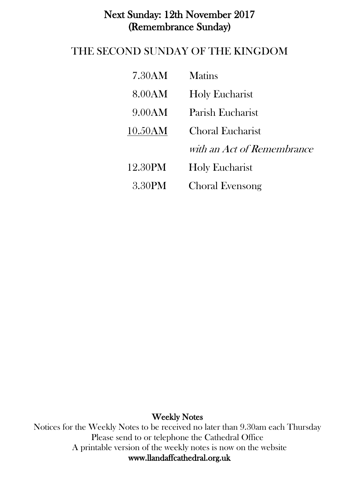## Next Sunday: 12th November 2017 (Remembrance Sunday)

## THE SECOND SUNDAY OF THE KINGDOM

| 7.30AM  | <b>Matins</b>              |
|---------|----------------------------|
| 8.00AM  | <b>Holy Eucharist</b>      |
| 9.00AM  | Parish Eucharist           |
| 10.50AM | <b>Choral Eucharist</b>    |
|         | with an Act of Remembrance |
| 12.30PM | <b>Holy Eucharist</b>      |
| 3.30PM  | <b>Choral Evensong</b>     |

#### Weekly Notes

Notices for the Weekly Notes to be received no later than 9.30am each Thursday Please send to or telephone the Cathedral Office A printable version of the weekly notes is now on the website [www.llandaffcathedral.org.uk](http://www.llandaffcathedral.org.uk/)